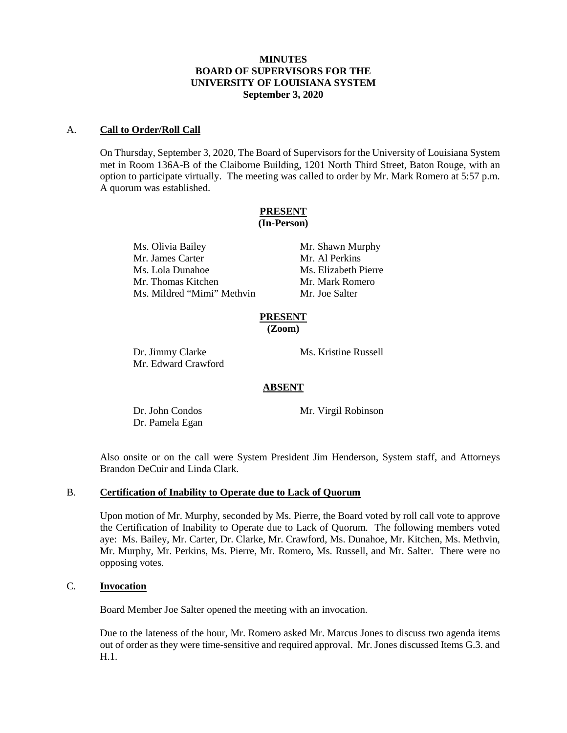# **MINUTES BOARD OF SUPERVISORS FOR THE UNIVERSITY OF LOUISIANA SYSTEM September 3, 2020**

# A. **Call to Order/Roll Call**

On Thursday, September 3, 2020, The Board of Supervisors for the University of Louisiana System met in Room 136A-B of the Claiborne Building, 1201 North Third Street, Baton Rouge, with an option to participate virtually. The meeting was called to order by Mr. Mark Romero at 5:57 p.m. A quorum was established.

# **PRESENT**

# **(In-Person)**

Ms. Olivia Bailey Mr. Shawn Murphy Mr. James Carter Mr. Al Perkins Ms. Lola Dunahoe Ms. Elizabeth Pierre Mr. Thomas Kitchen Mr. Mark Romero Ms. Mildred "Mimi" Methvin Mr. Joe Salter

#### **PRESENT (Zoom)**

Dr. Jimmy Clarke Ms. Kristine Russell Mr. Edward Crawford

# **ABSENT**

Dr. Pamela Egan

Dr. John Condos Mr. Virgil Robinson

Also onsite or on the call were System President Jim Henderson, System staff, and Attorneys Brandon DeCuir and Linda Clark.

# B. **Certification of Inability to Operate due to Lack of Quorum**

Upon motion of Mr. Murphy, seconded by Ms. Pierre, the Board voted by roll call vote to approve the Certification of Inability to Operate due to Lack of Quorum. The following members voted aye: Ms. Bailey, Mr. Carter, Dr. Clarke, Mr. Crawford, Ms. Dunahoe, Mr. Kitchen, Ms. Methvin, Mr. Murphy, Mr. Perkins, Ms. Pierre, Mr. Romero, Ms. Russell, and Mr. Salter. There were no opposing votes.

# C. **Invocation**

Board Member Joe Salter opened the meeting with an invocation.

Due to the lateness of the hour, Mr. Romero asked Mr. Marcus Jones to discuss two agenda items out of order as they were time-sensitive and required approval. Mr. Jones discussed Items G.3. and H.1.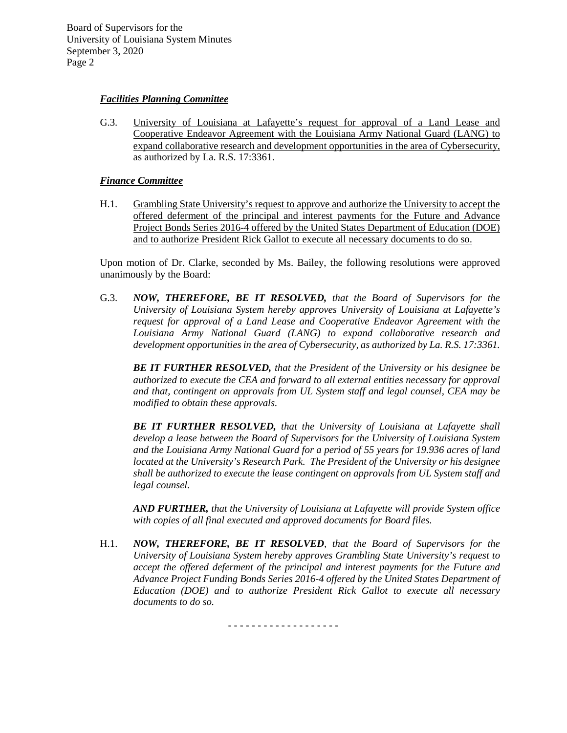# *Facilities Planning Committee*

G.3. University of Louisiana at Lafayette's request for approval of a Land Lease and Cooperative Endeavor Agreement with the Louisiana Army National Guard (LANG) to expand collaborative research and development opportunities in the area of Cybersecurity, as authorized by La. R.S. 17:3361.

# *Finance Committee*

H.1. Grambling State University's request to approve and authorize the University to accept the offered deferment of the principal and interest payments for the Future and Advance Project Bonds Series 2016-4 offered by the United States Department of Education (DOE) and to authorize President Rick Gallot to execute all necessary documents to do so.

Upon motion of Dr. Clarke, seconded by Ms. Bailey, the following resolutions were approved unanimously by the Board:

G.3. *NOW, THEREFORE, BE IT RESOLVED, that the Board of Supervisors for the University of Louisiana System hereby approves University of Louisiana at Lafayette's request for approval of a Land Lease and Cooperative Endeavor Agreement with the Louisiana Army National Guard (LANG) to expand collaborative research and development opportunities in the area of Cybersecurity, as authorized by La. R.S. 17:3361.*

*BE IT FURTHER RESOLVED, that the President of the University or his designee be authorized to execute the CEA and forward to all external entities necessary for approval and that, contingent on approvals from UL System staff and legal counsel, CEA may be modified to obtain these approvals.*

*BE IT FURTHER RESOLVED, that the University of Louisiana at Lafayette shall develop a lease between the Board of Supervisors for the University of Louisiana System and the Louisiana Army National Guard for a period of 55 years for 19.936 acres of land located at the University's Research Park. The President of the University or his designee shall be authorized to execute the lease contingent on approvals from UL System staff and legal counsel.*

*AND FURTHER, that the University of Louisiana at Lafayette will provide System office with copies of all final executed and approved documents for Board files.*

H.1. *NOW, THEREFORE, BE IT RESOLVED, that the Board of Supervisors for the University of Louisiana System hereby approves Grambling State University's request to accept the offered deferment of the principal and interest payments for the Future and Advance Project Funding Bonds Series 2016-4 offered by the United States Department of Education (DOE) and to authorize President Rick Gallot to execute all necessary documents to do so.*

- - - - - - - - - - - - - - - - - - -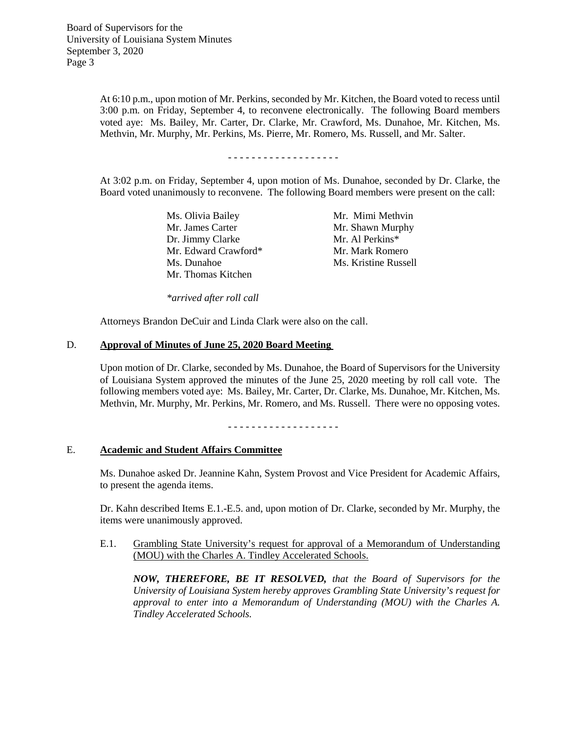> At 6:10 p.m., upon motion of Mr. Perkins, seconded by Mr. Kitchen, the Board voted to recess until 3:00 p.m. on Friday, September 4, to reconvene electronically. The following Board members voted aye: Ms. Bailey, Mr. Carter, Dr. Clarke, Mr. Crawford, Ms. Dunahoe, Mr. Kitchen, Ms. Methvin, Mr. Murphy, Mr. Perkins, Ms. Pierre, Mr. Romero, Ms. Russell, and Mr. Salter.

> > - - - - - - - - - - - - - - - - - - -

At 3:02 p.m. on Friday, September 4, upon motion of Ms. Dunahoe, seconded by Dr. Clarke, the Board voted unanimously to reconvene. The following Board members were present on the call:

> Ms. Olivia Bailey Mr. Mimi Methvin Mr. James Carter Mr. Shawn Murphy Dr. Jimmy Clarke Mr. Al Perkins\* Mr. Edward Crawford\* Mr. Mark Romero Ms. Dunahoe Ms. Kristine Russell Mr. Thomas Kitchen

*\*arrived after roll call*

Attorneys Brandon DeCuir and Linda Clark were also on the call.

#### D. **Approval of Minutes of June 25, 2020 Board Meeting**

Upon motion of Dr. Clarke, seconded by Ms. Dunahoe, the Board of Supervisors for the University of Louisiana System approved the minutes of the June 25, 2020 meeting by roll call vote. The following members voted aye: Ms. Bailey, Mr. Carter, Dr. Clarke, Ms. Dunahoe, Mr. Kitchen, Ms. Methvin, Mr. Murphy, Mr. Perkins, Mr. Romero, and Ms. Russell. There were no opposing votes.

- - - - - - - - - - - - - - - - - - -

## E. **Academic and Student Affairs Committee**

Ms. Dunahoe asked Dr. Jeannine Kahn, System Provost and Vice President for Academic Affairs, to present the agenda items.

Dr. Kahn described Items E.1.-E.5. and, upon motion of Dr. Clarke, seconded by Mr. Murphy, the items were unanimously approved.

### E.1. Grambling State University's request for approval of a Memorandum of Understanding (MOU) with the Charles A. Tindley Accelerated Schools.

*NOW, THEREFORE, BE IT RESOLVED, that the Board of Supervisors for the University of Louisiana System hereby approves Grambling State University's request for approval to enter into a Memorandum of Understanding (MOU) with the Charles A. Tindley Accelerated Schools.*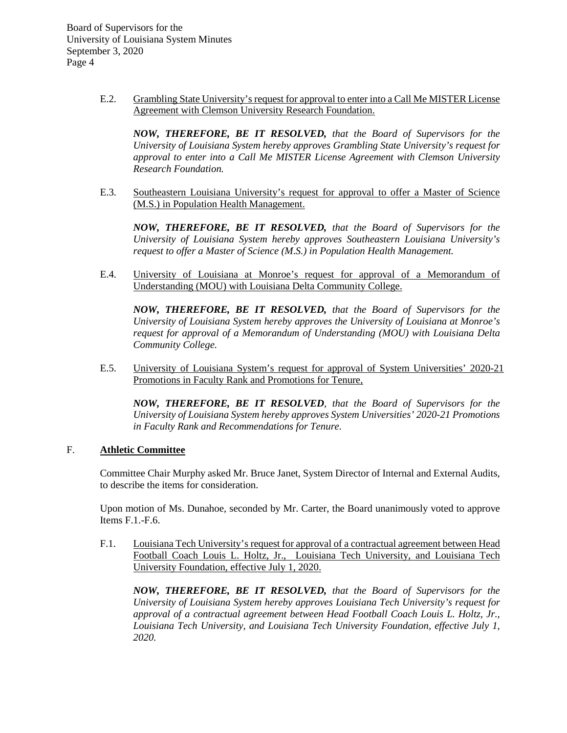> E.2. Grambling State University's request for approval to enter into a Call Me MISTER License Agreement with Clemson University Research Foundation.

*NOW, THEREFORE, BE IT RESOLVED, that the Board of Supervisors for the University of Louisiana System hereby approves Grambling State University's request for approval to enter into a Call Me MISTER License Agreement with Clemson University Research Foundation.* 

E.3. Southeastern Louisiana University's request for approval to offer a Master of Science (M.S.) in Population Health Management.

*NOW, THEREFORE, BE IT RESOLVED, that the Board of Supervisors for the University of Louisiana System hereby approves Southeastern Louisiana University's request to offer a Master of Science (M.S.) in Population Health Management.* 

E.4. University of Louisiana at Monroe's request for approval of a Memorandum of Understanding (MOU) with Louisiana Delta Community College.

*NOW, THEREFORE, BE IT RESOLVED, that the Board of Supervisors for the University of Louisiana System hereby approves the University of Louisiana at Monroe's request for approval of a Memorandum of Understanding (MOU) with Louisiana Delta Community College.* 

E.5. University of Louisiana System's request for approval of System Universities' 2020-21 Promotions in Faculty Rank and Promotions for Tenure,

*NOW, THEREFORE, BE IT RESOLVED, that the Board of Supervisors for the University of Louisiana System hereby approves System Universities' 2020-21 Promotions in Faculty Rank and Recommendations for Tenure.*

# F. **Athletic Committee**

Committee Chair Murphy asked Mr. Bruce Janet, System Director of Internal and External Audits, to describe the items for consideration.

Upon motion of Ms. Dunahoe, seconded by Mr. Carter, the Board unanimously voted to approve Items F.1.-F.6.

F.1. Louisiana Tech University's request for approval of a contractual agreement between Head Football Coach Louis L. Holtz, Jr., Louisiana Tech University, and Louisiana Tech University Foundation, effective July 1, 2020.

*NOW, THEREFORE, BE IT RESOLVED, that the Board of Supervisors for the University of Louisiana System hereby approves Louisiana Tech University's request for approval of a contractual agreement between Head Football Coach Louis L. Holtz, Jr., Louisiana Tech University, and Louisiana Tech University Foundation, effective July 1, 2020.*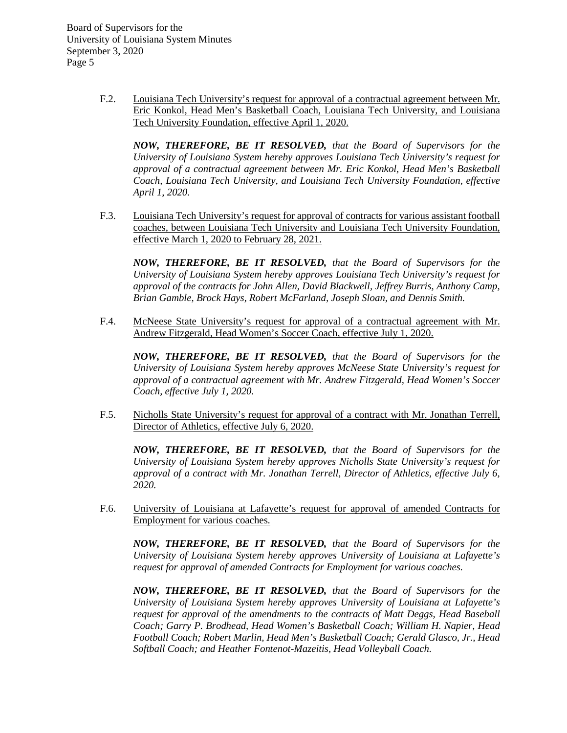> F.2. Louisiana Tech University's request for approval of a contractual agreement between Mr. Eric Konkol, Head Men's Basketball Coach, Louisiana Tech University, and Louisiana Tech University Foundation, effective April 1, 2020.

*NOW, THEREFORE, BE IT RESOLVED, that the Board of Supervisors for the University of Louisiana System hereby approves Louisiana Tech University's request for approval of a contractual agreement between Mr. Eric Konkol, Head Men's Basketball Coach, Louisiana Tech University, and Louisiana Tech University Foundation, effective April 1, 2020.*

F.3. Louisiana Tech University's request for approval of contracts for various assistant football coaches, between Louisiana Tech University and Louisiana Tech University Foundation, effective March 1, 2020 to February 28, 2021.

*NOW, THEREFORE, BE IT RESOLVED, that the Board of Supervisors for the University of Louisiana System hereby approves Louisiana Tech University's request for approval of the contracts for John Allen, David Blackwell, Jeffrey Burris, Anthony Camp, Brian Gamble, Brock Hays, Robert McFarland, Joseph Sloan, and Dennis Smith.* 

F.4. McNeese State University's request for approval of a contractual agreement with Mr. Andrew Fitzgerald, Head Women's Soccer Coach, effective July 1, 2020.

*NOW, THEREFORE, BE IT RESOLVED, that the Board of Supervisors for the University of Louisiana System hereby approves McNeese State University's request for approval of a contractual agreement with Mr. Andrew Fitzgerald, Head Women's Soccer Coach, effective July 1, 2020.*

F.5. Nicholls State University's request for approval of a contract with Mr. Jonathan Terrell, Director of Athletics, effective July 6, 2020.

*NOW, THEREFORE, BE IT RESOLVED, that the Board of Supervisors for the University of Louisiana System hereby approves Nicholls State University's request for approval of a contract with Mr. Jonathan Terrell, Director of Athletics, effective July 6, 2020.*

F.6. University of Louisiana at Lafayette's request for approval of amended Contracts for Employment for various coaches.

*NOW, THEREFORE, BE IT RESOLVED, that the Board of Supervisors for the University of Louisiana System hereby approves University of Louisiana at Lafayette's request for approval of amended Contracts for Employment for various coaches.*

*NOW, THEREFORE, BE IT RESOLVED, that the Board of Supervisors for the University of Louisiana System hereby approves University of Louisiana at Lafayette's request for approval of the amendments to the contracts of Matt Deggs, Head Baseball Coach; Garry P. Brodhead, Head Women's Basketball Coach; William H. Napier, Head Football Coach; Robert Marlin, Head Men's Basketball Coach; Gerald Glasco, Jr., Head Softball Coach; and Heather Fontenot-Mazeitis, Head Volleyball Coach.*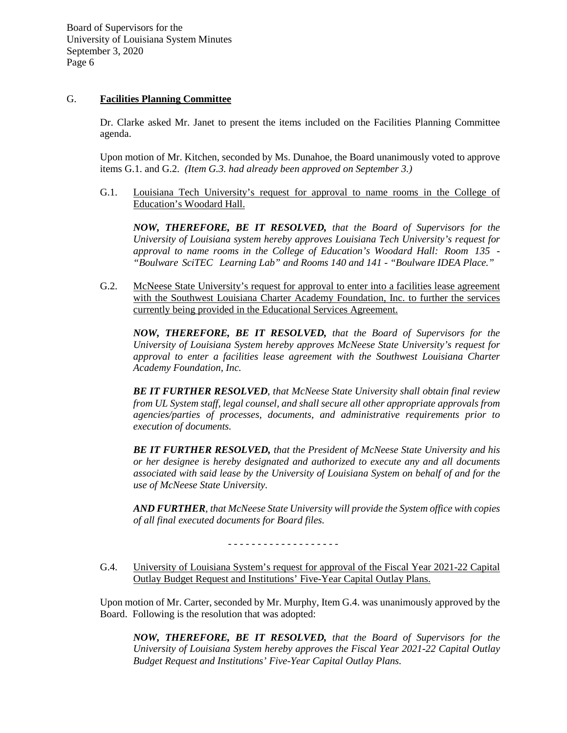# G. **Facilities Planning Committee**

Dr. Clarke asked Mr. Janet to present the items included on the Facilities Planning Committee agenda.

Upon motion of Mr. Kitchen, seconded by Ms. Dunahoe, the Board unanimously voted to approve items G.1. and G.2. *(Item G.3. had already been approved on September 3.)*

G.1. Louisiana Tech University's request for approval to name rooms in the College of Education's Woodard Hall.

*NOW, THEREFORE, BE IT RESOLVED, that the Board of Supervisors for the University of Louisiana system hereby approves Louisiana Tech University's request for approval to name rooms in the College of Education's Woodard Hall: Room 135 - "Boulware SciTEC Learning Lab" and Rooms 140 and 141 - "Boulware IDEA Place."*

G.2. McNeese State University's request for approval to enter into a facilities lease agreement with the Southwest Louisiana Charter Academy Foundation, Inc. to further the services currently being provided in the Educational Services Agreement.

*NOW, THEREFORE, BE IT RESOLVED, that the Board of Supervisors for the University of Louisiana System hereby approves McNeese State University's request for approval to enter a facilities lease agreement with the Southwest Louisiana Charter Academy Foundation, Inc.*

*BE IT FURTHER RESOLVED, that McNeese State University shall obtain final review from UL System staff, legal counsel, and shall secure all other appropriate approvals from agencies/parties of processes, documents, and administrative requirements prior to execution of documents.* 

*BE IT FURTHER RESOLVED, that the President of McNeese State University and his or her designee is hereby designated and authorized to execute any and all documents associated with said lease by the University of Louisiana System on behalf of and for the use of McNeese State University.*

*AND FURTHER, that McNeese State University will provide the System office with copies of all final executed documents for Board files.*

G.4. University of Louisiana System's request for approval of the Fiscal Year 2021-22 Capital Outlay Budget Request and Institutions' Five-Year Capital Outlay Plans.

Upon motion of Mr. Carter, seconded by Mr. Murphy, Item G.4. was unanimously approved by the Board. Following is the resolution that was adopted:

*NOW, THEREFORE, BE IT RESOLVED, that the Board of Supervisors for the University of Louisiana System hereby approves the Fiscal Year 2021-22 Capital Outlay Budget Request and Institutions' Five-Year Capital Outlay Plans.*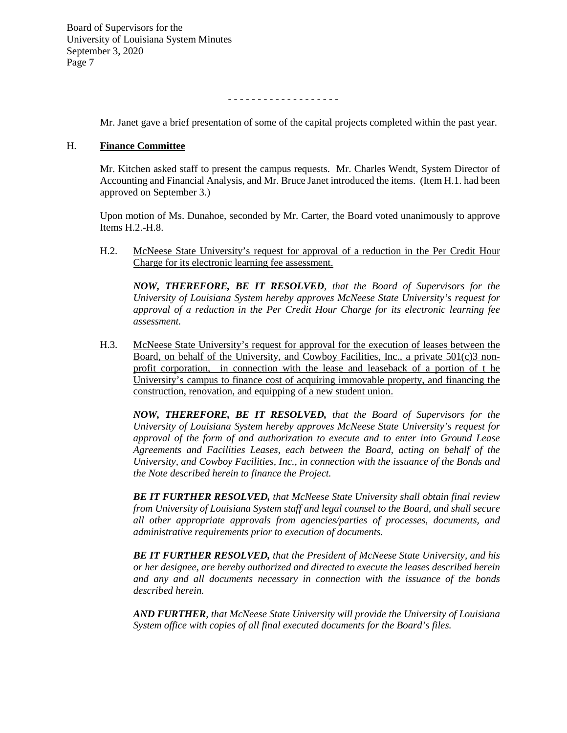- - - - - - - - - - - - - - - - - - -

Mr. Janet gave a brief presentation of some of the capital projects completed within the past year.

## H. **Finance Committee**

Mr. Kitchen asked staff to present the campus requests. Mr. Charles Wendt, System Director of Accounting and Financial Analysis, and Mr. Bruce Janet introduced the items. (Item H.1. had been approved on September 3.)

Upon motion of Ms. Dunahoe, seconded by Mr. Carter, the Board voted unanimously to approve Items H.2.-H.8.

H.2. McNeese State University's request for approval of a reduction in the Per Credit Hour Charge for its electronic learning fee assessment.

*NOW, THEREFORE, BE IT RESOLVED, that the Board of Supervisors for the University of Louisiana System hereby approves McNeese State University's request for approval of a reduction in the Per Credit Hour Charge for its electronic learning fee assessment.*

H.3. McNeese State University's request for approval for the execution of leases between the Board, on behalf of the University, and Cowboy Facilities, Inc., a private 501(c)3 nonprofit corporation, in connection with the lease and leaseback of a portion of t he University's campus to finance cost of acquiring immovable property, and financing the construction, renovation, and equipping of a new student union.

*NOW, THEREFORE, BE IT RESOLVED, that the Board of Supervisors for the University of Louisiana System hereby approves McNeese State University's request for approval of the form of and authorization to execute and to enter into Ground Lease Agreements and Facilities Leases, each between the Board, acting on behalf of the University, and Cowboy Facilities, Inc., in connection with the issuance of the Bonds and the Note described herein to finance the Project.*

*BE IT FURTHER RESOLVED, that McNeese State University shall obtain final review from University of Louisiana System staff and legal counsel to the Board, and shall secure all other appropriate approvals from agencies/parties of processes, documents, and administrative requirements prior to execution of documents.*

*BE IT FURTHER RESOLVED, that the President of McNeese State University, and his or her designee, are hereby authorized and directed to execute the leases described herein and any and all documents necessary in connection with the issuance of the bonds described herein.*

*AND FURTHER, that McNeese State University will provide the University of Louisiana System office with copies of all final executed documents for the Board's files.*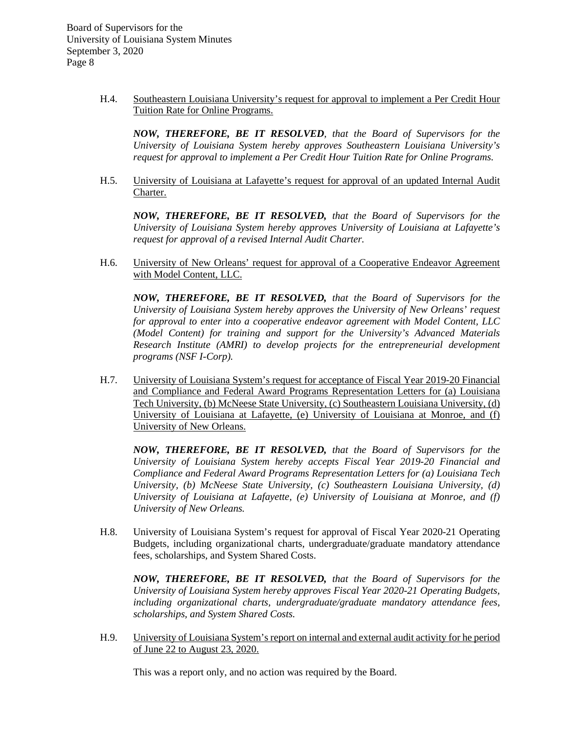> H.4. Southeastern Louisiana University's request for approval to implement a Per Credit Hour Tuition Rate for Online Programs.

*NOW, THEREFORE, BE IT RESOLVED, that the Board of Supervisors for the University of Louisiana System hereby approves Southeastern Louisiana University's request for approval to implement a Per Credit Hour Tuition Rate for Online Programs.*

H.5. University of Louisiana at Lafayette's request for approval of an updated Internal Audit Charter.

*NOW, THEREFORE, BE IT RESOLVED, that the Board of Supervisors for the University of Louisiana System hereby approves University of Louisiana at Lafayette's request for approval of a revised Internal Audit Charter.*

H.6. University of New Orleans' request for approval of a Cooperative Endeavor Agreement with Model Content, LLC.

*NOW, THEREFORE, BE IT RESOLVED, that the Board of Supervisors for the University of Louisiana System hereby approves the University of New Orleans' request for approval to enter into a cooperative endeavor agreement with Model Content, LLC (Model Content) for training and support for the University's Advanced Materials Research Institute (AMRI) to develop projects for the entrepreneurial development programs (NSF I-Corp).*

H.7. University of Louisiana System's request for acceptance of Fiscal Year 2019-20 Financial and Compliance and Federal Award Programs Representation Letters for (a) Louisiana Tech University, (b) McNeese State University, (c) Southeastern Louisiana University, (d) University of Louisiana at Lafayette, (e) University of Louisiana at Monroe, and (f) University of New Orleans.

*NOW, THEREFORE, BE IT RESOLVED, that the Board of Supervisors for the University of Louisiana System hereby accepts Fiscal Year 2019-20 Financial and Compliance and Federal Award Programs Representation Letters for (a) Louisiana Tech University, (b) McNeese State University, (c) Southeastern Louisiana University, (d) University of Louisiana at Lafayette, (e) University of Louisiana at Monroe, and (f) University of New Orleans.*

H.8. University of Louisiana System's request for approval of Fiscal Year 2020-21 Operating Budgets, including organizational charts, undergraduate/graduate mandatory attendance fees, scholarships, and System Shared Costs.

*NOW, THEREFORE, BE IT RESOLVED, that the Board of Supervisors for the University of Louisiana System hereby approves Fiscal Year 2020-21 Operating Budgets, including organizational charts, undergraduate/graduate mandatory attendance fees, scholarships, and System Shared Costs.*

H.9. University of Louisiana System's report on internal and external audit activity for he period of June 22 to August 23, 2020.

This was a report only, and no action was required by the Board.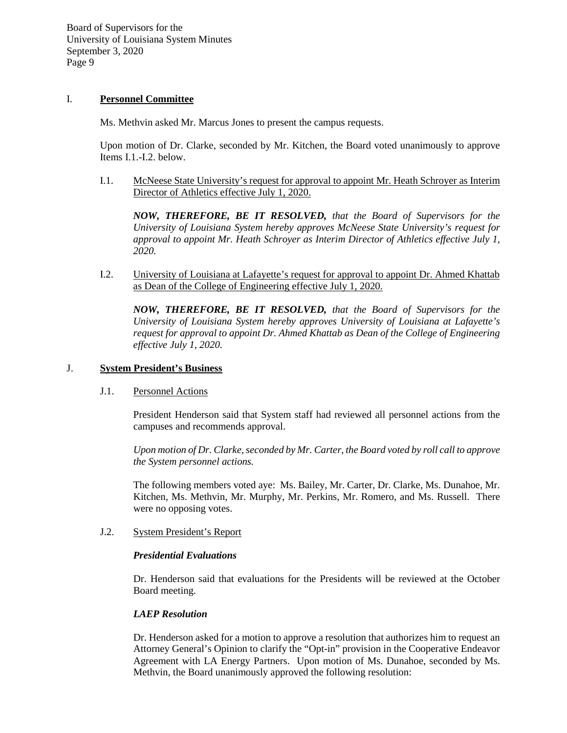## I. **Personnel Committee**

Ms. Methvin asked Mr. Marcus Jones to present the campus requests.

Upon motion of Dr. Clarke, seconded by Mr. Kitchen, the Board voted unanimously to approve Items I.1.-I.2. below.

I.1. McNeese State University's request for approval to appoint Mr. Heath Schroyer as Interim Director of Athletics effective July 1, 2020.

*NOW, THEREFORE, BE IT RESOLVED, that the Board of Supervisors for the University of Louisiana System hereby approves McNeese State University's request for approval to appoint Mr. Heath Schroyer as Interim Director of Athletics effective July 1, 2020.*

I.2. University of Louisiana at Lafayette's request for approval to appoint Dr. Ahmed Khattab as Dean of the College of Engineering effective July 1, 2020.

*NOW, THEREFORE, BE IT RESOLVED, that the Board of Supervisors for the University of Louisiana System hereby approves University of Louisiana at Lafayette's request for approval to appoint Dr. Ahmed Khattab as Dean of the College of Engineering effective July 1, 2020.*

### J. **System President's Business**

## J.1. Personnel Actions

President Henderson said that System staff had reviewed all personnel actions from the campuses and recommends approval.

*Upon motion of Dr. Clarke, seconded by Mr. Carter, the Board voted by roll call to approve the System personnel actions.*

The following members voted aye: Ms. Bailey, Mr. Carter, Dr. Clarke, Ms. Dunahoe, Mr. Kitchen, Ms. Methvin, Mr. Murphy, Mr. Perkins, Mr. Romero, and Ms. Russell. There were no opposing votes.

# J.2. System President's Report

## *Presidential Evaluations*

Dr. Henderson said that evaluations for the Presidents will be reviewed at the October Board meeting.

# *LAEP Resolution*

Dr. Henderson asked for a motion to approve a resolution that authorizes him to request an Attorney General's Opinion to clarify the "Opt-in" provision in the Cooperative Endeavor Agreement with LA Energy Partners. Upon motion of Ms. Dunahoe, seconded by Ms. Methvin, the Board unanimously approved the following resolution: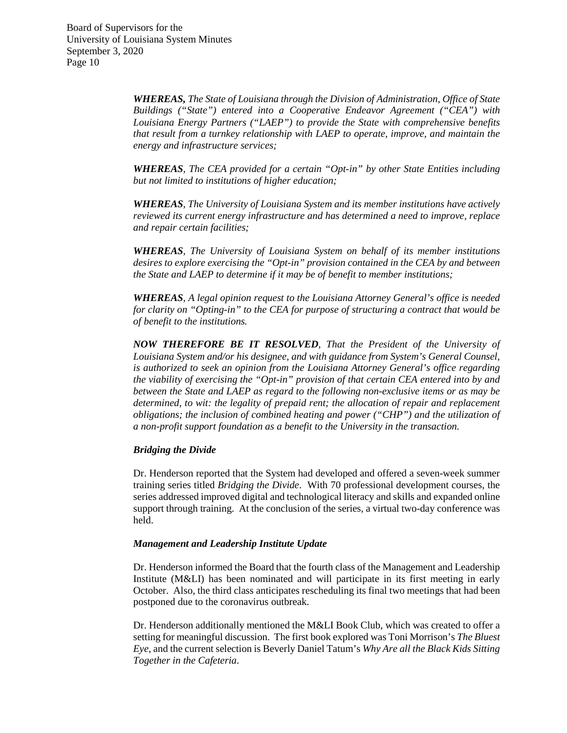> *WHEREAS, The State of Louisiana through the Division of Administration, Office of State Buildings ("State") entered into a Cooperative Endeavor Agreement ("CEA") with Louisiana Energy Partners ("LAEP") to provide the State with comprehensive benefits that result from a turnkey relationship with LAEP to operate, improve, and maintain the energy and infrastructure services;*

> *WHEREAS, The CEA provided for a certain "Opt-in" by other State Entities including but not limited to institutions of higher education;*

> *WHEREAS, The University of Louisiana System and its member institutions have actively reviewed its current energy infrastructure and has determined a need to improve, replace and repair certain facilities;*

> *WHEREAS, The University of Louisiana System on behalf of its member institutions desires to explore exercising the "Opt-in" provision contained in the CEA by and between the State and LAEP to determine if it may be of benefit to member institutions;*

> *WHEREAS, A legal opinion request to the Louisiana Attorney General's office is needed for clarity on "Opting-in" to the CEA for purpose of structuring a contract that would be of benefit to the institutions.*

> *NOW THEREFORE BE IT RESOLVED, That the President of the University of Louisiana System and/or his designee, and with guidance from System's General Counsel, is authorized to seek an opinion from the Louisiana Attorney General's office regarding the viability of exercising the "Opt-in" provision of that certain CEA entered into by and between the State and LAEP as regard to the following non-exclusive items or as may be determined, to wit: the legality of prepaid rent; the allocation of repair and replacement obligations; the inclusion of combined heating and power ("CHP") and the utilization of a non-profit support foundation as a benefit to the University in the transaction.*

#### *Bridging the Divide*

Dr. Henderson reported that the System had developed and offered a seven-week summer training series titled *Bridging the Divide*. With 70 professional development courses, the series addressed improved digital and technological literacy and skills and expanded online support through training. At the conclusion of the series, a virtual two-day conference was held.

#### *Management and Leadership Institute Update*

Dr. Henderson informed the Board that the fourth class of the Management and Leadership Institute (M&LI) has been nominated and will participate in its first meeting in early October. Also, the third class anticipates rescheduling its final two meetings that had been postponed due to the coronavirus outbreak.

Dr. Henderson additionally mentioned the M&LI Book Club, which was created to offer a setting for meaningful discussion. The first book explored was Toni Morrison's *The Bluest Eye*, and the current selection is Beverly Daniel Tatum's *Why Are all the Black Kids Sitting Together in the Cafeteria*.